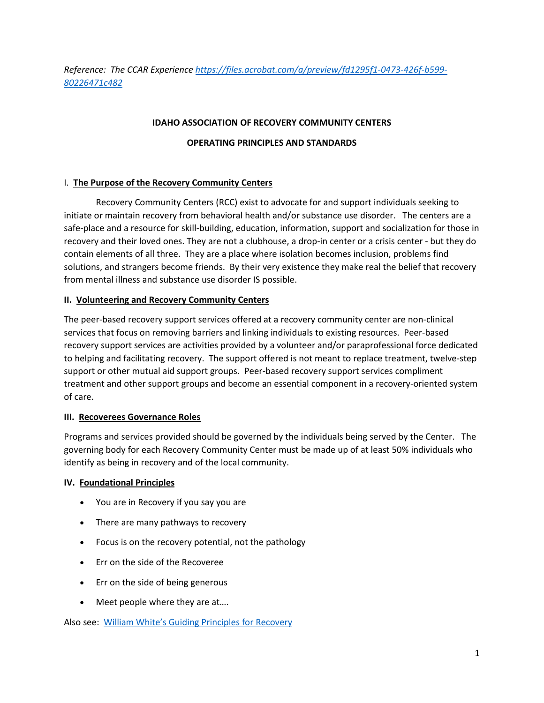*Reference: The CCAR Experience [https://files.acrobat.com/a/preview/fd1295f1-0473-426f-b599-](https://files.acrobat.com/a/preview/fd1295f1-0473-426f-b599-80226471c482) [80226471c482](https://files.acrobat.com/a/preview/fd1295f1-0473-426f-b599-80226471c482)*

## **IDAHO ASSOCIATION OF RECOVERY COMMUNITY CENTERS**

## **OPERATING PRINCIPLES AND STANDARDS**

## I. **The Purpose of the Recovery Community Centers**

Recovery Community Centers (RCC) exist to advocate for and support individuals seeking to initiate or maintain recovery from behavioral health and/or substance use disorder. The centers are a safe-place and a resource for skill-building, education, information, support and socialization for those in recovery and their loved ones. They are not a clubhouse, a drop-in center or a crisis center - but they do contain elements of all three. They are a place where isolation becomes inclusion, problems find solutions, and strangers become friends. By their very existence they make real the belief that recovery from mental illness and substance use disorder IS possible.

## **II. Volunteering and Recovery Community Centers**

The peer-based recovery support services offered at a recovery community center are non-clinical services that focus on removing barriers and linking individuals to existing resources. Peer-based recovery support services are activities provided by a volunteer and/or paraprofessional force dedicated to helping and facilitating recovery. The support offered is not meant to replace treatment, twelve-step support or other mutual aid support groups. Peer-based recovery support services compliment treatment and other support groups and become an essential component in a recovery-oriented system of care.

## **III. Recoverees Governance Roles**

Programs and services provided should be governed by the individuals being served by the Center. The governing body for each Recovery Community Center must be made up of at least 50% individuals who identify as being in recovery and of the local community.

## **IV. Foundational Principles**

- You are in Recovery if you say you are
- There are many pathways to recovery
- Focus is on the recovery potential, not the pathology
- Err on the side of the Recoveree
- Err on the side of being generous
- Meet people where they are at....

Also see: [William White's Guiding Principles for Recovery](https://www.slideserve.com/phuoc/new-approaches-to-substance-addiction-recovery-oriented-systems-of-care-rosc)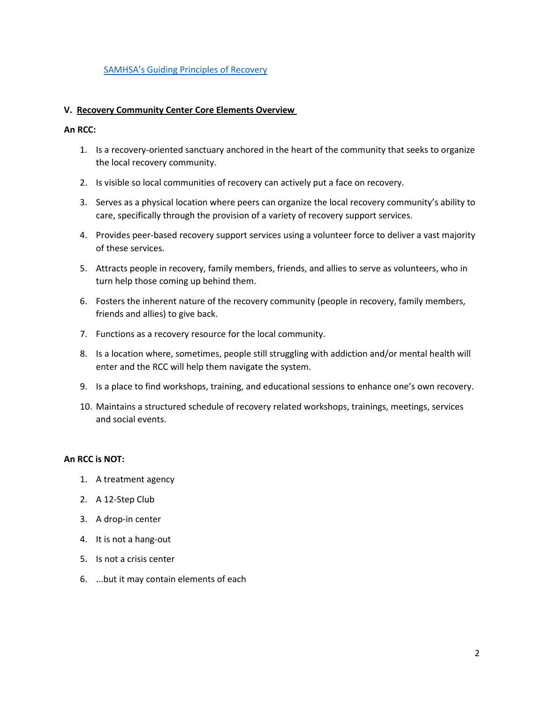## [SAMHSA's Guiding Principles of Recovery](https://www.inspiremalibu.com/blog/recovery/samhsa-10-guiding-principles-of-recovery/)

#### **V. Recovery Community Center Core Elements Overview**

#### **An RCC:**

- 1. Is a recovery-oriented sanctuary anchored in the heart of the community that seeks to organize the local recovery community.
- 2. Is visible so local communities of recovery can actively put a face on recovery.
- 3. Serves as a physical location where peers can organize the local recovery community's ability to care, specifically through the provision of a variety of recovery support services.
- 4. Provides peer-based recovery support services using a volunteer force to deliver a vast majority of these services.
- 5. Attracts people in recovery, family members, friends, and allies to serve as volunteers, who in turn help those coming up behind them.
- 6. Fosters the inherent nature of the recovery community (people in recovery, family members, friends and allies) to give back.
- 7. Functions as a recovery resource for the local community.
- 8. Is a location where, sometimes, people still struggling with addiction and/or mental health will enter and the RCC will help them navigate the system.
- 9. Is a place to find workshops, training, and educational sessions to enhance one's own recovery.
- 10. Maintains a structured schedule of recovery related workshops, trainings, meetings, services and social events.

#### **An RCC is NOT:**

- 1. A treatment agency
- 2. A 12-Step Club
- 3. A drop-in center
- 4. It is not a hang-out
- 5. Is not a crisis center
- 6. ...but it may contain elements of each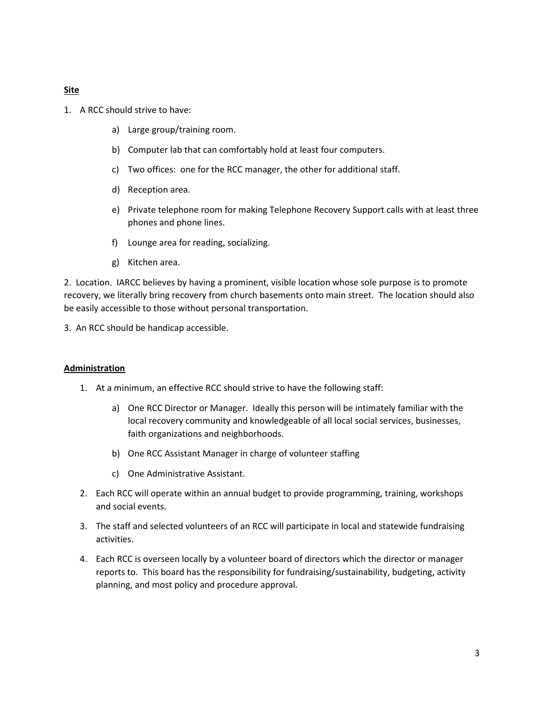## **Site**

- 1. A RCC should strive to have:
	- a) Large group/training room.
	- b) Computer lab that can comfortably hold at least four computers.
	- c) Two offices: one for the RCC manager, the other for additional staff.
	- d) Reception area.
	- e) Private telephone room for making Telephone Recovery Support calls with at least three phones and phone lines.
	- f) Lounge area for reading, socializing.
	- g) Kitchen area.

2. Location. IARCC believes by having a prominent, visible location whose sole purpose is to promote recovery, we literally bring recovery from church basements onto main street. The location should also be easily accessible to those without personal transportation.

3. An RCC should be handicap accessible.

#### **Administration**

- 1. At a minimum, an effective RCC should strive to have the following staff:
	- a) One RCC Director or Manager. Ideally this person will be intimately familiar with the local recovery community and knowledgeable of all local social services, businesses, faith organizations and neighborhoods.
	- b) One RCC Assistant Manager in charge of volunteer staffing
	- c) One Administrative Assistant.
- 2. Each RCC will operate within an annual budget to provide programming, training, workshops and social events.
- 3. The staff and selected volunteers of an RCC will participate in local and statewide fundraising activities.
- 4. Each RCC is overseen locally by a volunteer board of directors which the director or manager reports to. This board has the responsibility for fundraising/sustainability, budgeting, activity planning, and most policy and procedure approval.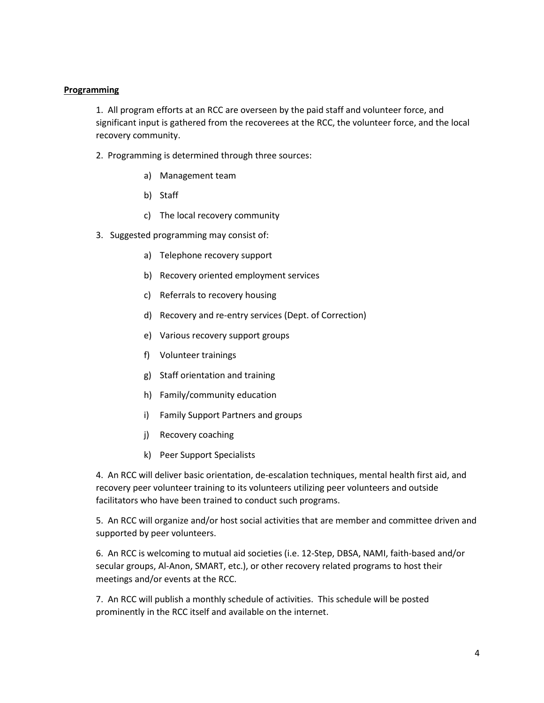# **Programming**

1. All program efforts at an RCC are overseen by the paid staff and volunteer force, and significant input is gathered from the recoverees at the RCC, the volunteer force, and the local recovery community.

- 2. Programming is determined through three sources:
	- a) Management team
	- b) Staff
	- c) The local recovery community
- 3. Suggested programming may consist of:
	- a) Telephone recovery support
	- b) Recovery oriented employment services
	- c) Referrals to recovery housing
	- d) Recovery and re-entry services (Dept. of Correction)
	- e) Various recovery support groups
	- f) Volunteer trainings
	- g) Staff orientation and training
	- h) Family/community education
	- i) Family Support Partners and groups
	- j) Recovery coaching
	- k) Peer Support Specialists

4. An RCC will deliver basic orientation, de-escalation techniques, mental health first aid, and recovery peer volunteer training to its volunteers utilizing peer volunteers and outside facilitators who have been trained to conduct such programs.

5. An RCC will organize and/or host social activities that are member and committee driven and supported by peer volunteers.

6. An RCC is welcoming to mutual aid societies (i.e. 12-Step, DBSA, NAMI, faith-based and/or secular groups, Al-Anon, SMART, etc.), or other recovery related programs to host their meetings and/or events at the RCC.

7. An RCC will publish a monthly schedule of activities. This schedule will be posted prominently in the RCC itself and available on the internet.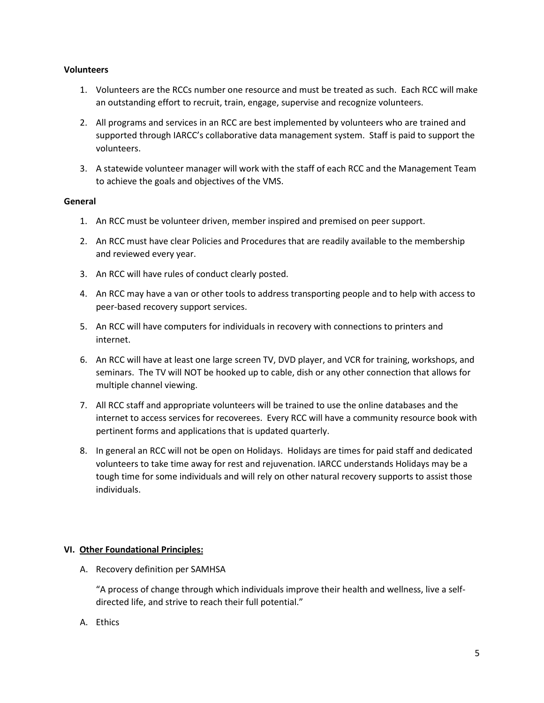## **Volunteers**

- 1. Volunteers are the RCCs number one resource and must be treated as such. Each RCC will make an outstanding effort to recruit, train, engage, supervise and recognize volunteers.
- 2. All programs and services in an RCC are best implemented by volunteers who are trained and supported through IARCC's collaborative data management system. Staff is paid to support the volunteers.
- 3. A statewide volunteer manager will work with the staff of each RCC and the Management Team to achieve the goals and objectives of the VMS.

# **General**

- 1. An RCC must be volunteer driven, member inspired and premised on peer support.
- 2. An RCC must have clear Policies and Procedures that are readily available to the membership and reviewed every year.
- 3. An RCC will have rules of conduct clearly posted.
- 4. An RCC may have a van or other tools to address transporting people and to help with access to peer-based recovery support services.
- 5. An RCC will have computers for individuals in recovery with connections to printers and internet.
- 6. An RCC will have at least one large screen TV, DVD player, and VCR for training, workshops, and seminars. The TV will NOT be hooked up to cable, dish or any other connection that allows for multiple channel viewing.
- 7. All RCC staff and appropriate volunteers will be trained to use the online databases and the internet to access services for recoverees. Every RCC will have a community resource book with pertinent forms and applications that is updated quarterly.
- 8. In general an RCC will not be open on Holidays. Holidays are times for paid staff and dedicated volunteers to take time away for rest and rejuvenation. IARCC understands Holidays may be a tough time for some individuals and will rely on other natural recovery supports to assist those individuals.

# **VI. Other Foundational Principles:**

A. Recovery definition per SAMHSA

"A process of change through which individuals improve their health and wellness, live a selfdirected life, and strive to reach their full potential."

A. Ethics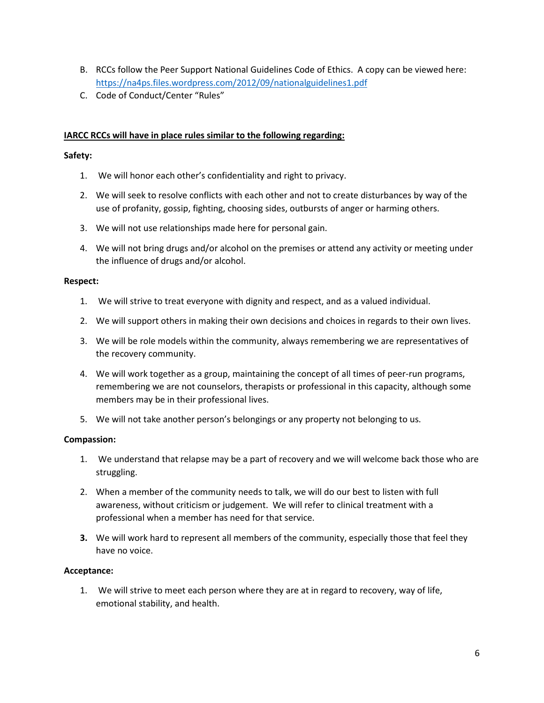- B. RCCs follow the Peer Support National Guidelines Code of Ethics. A copy can be viewed here: <https://na4ps.files.wordpress.com/2012/09/nationalguidelines1.pdf>
- C. Code of Conduct/Center "Rules"

# **IARCC RCCs will have in place rules similar to the following regarding:**

## **Safety:**

- 1. We will honor each other's confidentiality and right to privacy.
- 2. We will seek to resolve conflicts with each other and not to create disturbances by way of the use of profanity, gossip, fighting, choosing sides, outbursts of anger or harming others.
- 3. We will not use relationships made here for personal gain.
- 4. We will not bring drugs and/or alcohol on the premises or attend any activity or meeting under the influence of drugs and/or alcohol.

## **Respect:**

- 1. We will strive to treat everyone with dignity and respect, and as a valued individual.
- 2. We will support others in making their own decisions and choices in regards to their own lives.
- 3. We will be role models within the community, always remembering we are representatives of the recovery community.
- 4. We will work together as a group, maintaining the concept of all times of peer-run programs, remembering we are not counselors, therapists or professional in this capacity, although some members may be in their professional lives.
- 5. We will not take another person's belongings or any property not belonging to us.

## **Compassion:**

- 1. We understand that relapse may be a part of recovery and we will welcome back those who are struggling.
- 2. When a member of the community needs to talk, we will do our best to listen with full awareness, without criticism or judgement. We will refer to clinical treatment with a professional when a member has need for that service.
- **3.** We will work hard to represent all members of the community, especially those that feel they have no voice.

## **Acceptance:**

1. We will strive to meet each person where they are at in regard to recovery, way of life, emotional stability, and health.